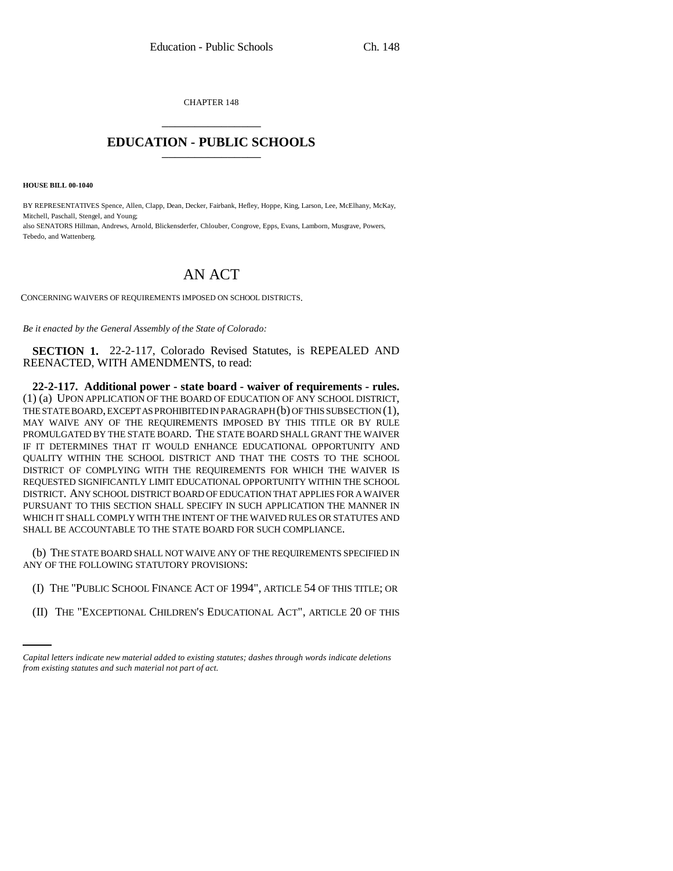CHAPTER 148 \_\_\_\_\_\_\_\_\_\_\_\_\_\_\_

## **EDUCATION - PUBLIC SCHOOLS** \_\_\_\_\_\_\_\_\_\_\_\_\_\_\_

**HOUSE BILL 00-1040** 

BY REPRESENTATIVES Spence, Allen, Clapp, Dean, Decker, Fairbank, Hefley, Hoppe, King, Larson, Lee, McElhany, McKay, Mitchell, Paschall, Stengel, and Young; also SENATORS Hillman, Andrews, Arnold, Blickensderfer, Chlouber, Congrove, Epps, Evans, Lamborn, Musgrave, Powers, Tebedo, and Wattenberg.

## AN ACT

CONCERNING WAIVERS OF REQUIREMENTS IMPOSED ON SCHOOL DISTRICTS.

*Be it enacted by the General Assembly of the State of Colorado:*

**SECTION 1.** 22-2-117, Colorado Revised Statutes, is REPEALED AND REENACTED, WITH AMENDMENTS, to read:

**22-2-117. Additional power - state board - waiver of requirements - rules.** (1) (a) UPON APPLICATION OF THE BOARD OF EDUCATION OF ANY SCHOOL DISTRICT, THE STATE BOARD, EXCEPT AS PROHIBITED IN PARAGRAPH (b) OF THIS SUBSECTION (1), MAY WAIVE ANY OF THE REQUIREMENTS IMPOSED BY THIS TITLE OR BY RULE PROMULGATED BY THE STATE BOARD. THE STATE BOARD SHALL GRANT THE WAIVER IF IT DETERMINES THAT IT WOULD ENHANCE EDUCATIONAL OPPORTUNITY AND QUALITY WITHIN THE SCHOOL DISTRICT AND THAT THE COSTS TO THE SCHOOL DISTRICT OF COMPLYING WITH THE REQUIREMENTS FOR WHICH THE WAIVER IS REQUESTED SIGNIFICANTLY LIMIT EDUCATIONAL OPPORTUNITY WITHIN THE SCHOOL DISTRICT. ANY SCHOOL DISTRICT BOARD OF EDUCATION THAT APPLIES FOR A WAIVER PURSUANT TO THIS SECTION SHALL SPECIFY IN SUCH APPLICATION THE MANNER IN WHICH IT SHALL COMPLY WITH THE INTENT OF THE WAIVED RULES OR STATUTES AND SHALL BE ACCOUNTABLE TO THE STATE BOARD FOR SUCH COMPLIANCE.

(b) THE STATE BOARD SHALL NOT WAIVE ANY OF THE REQUIREMENTS SPECIFIED IN ANY OF THE FOLLOWING STATUTORY PROVISIONS:

- (I) THE "PUBLIC SCHOOL FINANCE ACT OF 1994", ARTICLE 54 OF THIS TITLE; OR
	- (II) THE "EXCEPTIONAL CHILDREN'S EDUCATIONAL ACT", ARTICLE 20 OF THIS

*Capital letters indicate new material added to existing statutes; dashes through words indicate deletions from existing statutes and such material not part of act.*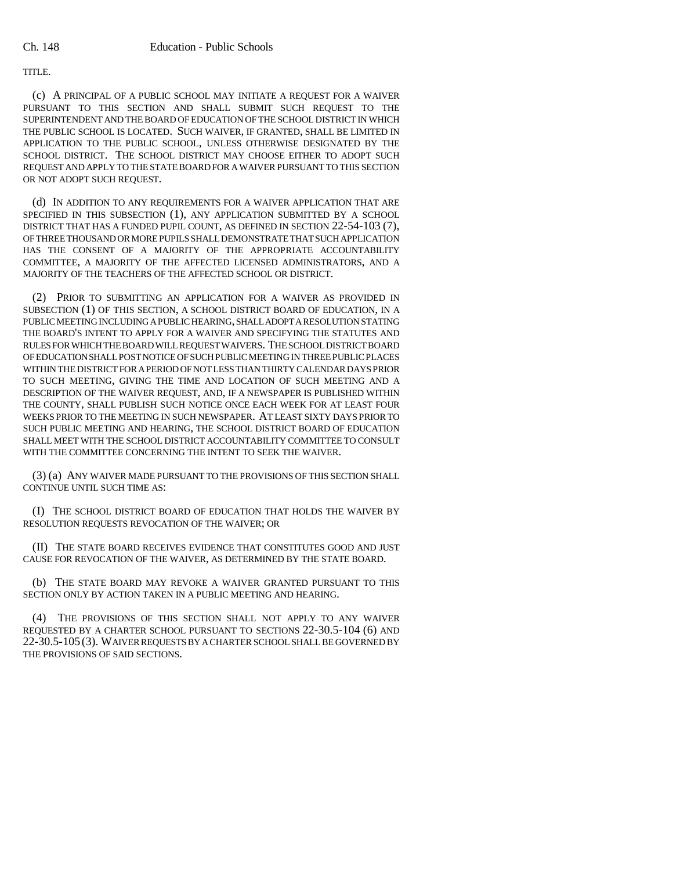## TITLE.

(c) A PRINCIPAL OF A PUBLIC SCHOOL MAY INITIATE A REQUEST FOR A WAIVER PURSUANT TO THIS SECTION AND SHALL SUBMIT SUCH REQUEST TO THE SUPERINTENDENT AND THE BOARD OF EDUCATION OF THE SCHOOL DISTRICT IN WHICH THE PUBLIC SCHOOL IS LOCATED. SUCH WAIVER, IF GRANTED, SHALL BE LIMITED IN APPLICATION TO THE PUBLIC SCHOOL, UNLESS OTHERWISE DESIGNATED BY THE SCHOOL DISTRICT. THE SCHOOL DISTRICT MAY CHOOSE EITHER TO ADOPT SUCH REQUEST AND APPLY TO THE STATE BOARD FOR A WAIVER PURSUANT TO THIS SECTION OR NOT ADOPT SUCH REQUEST.

(d) IN ADDITION TO ANY REQUIREMENTS FOR A WAIVER APPLICATION THAT ARE SPECIFIED IN THIS SUBSECTION (1), ANY APPLICATION SUBMITTED BY A SCHOOL DISTRICT THAT HAS A FUNDED PUPIL COUNT, AS DEFINED IN SECTION 22-54-103 (7), OF THREE THOUSAND OR MORE PUPILS SHALL DEMONSTRATE THAT SUCH APPLICATION HAS THE CONSENT OF A MAJORITY OF THE APPROPRIATE ACCOUNTABILITY COMMITTEE, A MAJORITY OF THE AFFECTED LICENSED ADMINISTRATORS, AND A MAJORITY OF THE TEACHERS OF THE AFFECTED SCHOOL OR DISTRICT.

(2) PRIOR TO SUBMITTING AN APPLICATION FOR A WAIVER AS PROVIDED IN SUBSECTION (1) OF THIS SECTION, A SCHOOL DISTRICT BOARD OF EDUCATION, IN A PUBLIC MEETING INCLUDING A PUBLIC HEARING, SHALL ADOPT A RESOLUTION STATING THE BOARD'S INTENT TO APPLY FOR A WAIVER AND SPECIFYING THE STATUTES AND RULES FOR WHICH THE BOARD WILL REQUEST WAIVERS. THE SCHOOL DISTRICT BOARD OF EDUCATION SHALL POST NOTICE OF SUCH PUBLIC MEETING IN THREE PUBLIC PLACES WITHIN THE DISTRICT FOR A PERIOD OF NOT LESS THAN THIRTY CALENDAR DAYS PRIOR TO SUCH MEETING, GIVING THE TIME AND LOCATION OF SUCH MEETING AND A DESCRIPTION OF THE WAIVER REQUEST, AND, IF A NEWSPAPER IS PUBLISHED WITHIN THE COUNTY, SHALL PUBLISH SUCH NOTICE ONCE EACH WEEK FOR AT LEAST FOUR WEEKS PRIOR TO THE MEETING IN SUCH NEWSPAPER. AT LEAST SIXTY DAYS PRIOR TO SUCH PUBLIC MEETING AND HEARING, THE SCHOOL DISTRICT BOARD OF EDUCATION SHALL MEET WITH THE SCHOOL DISTRICT ACCOUNTABILITY COMMITTEE TO CONSULT WITH THE COMMITTEE CONCERNING THE INTENT TO SEEK THE WAIVER.

(3) (a) ANY WAIVER MADE PURSUANT TO THE PROVISIONS OF THIS SECTION SHALL CONTINUE UNTIL SUCH TIME AS:

(I) THE SCHOOL DISTRICT BOARD OF EDUCATION THAT HOLDS THE WAIVER BY RESOLUTION REQUESTS REVOCATION OF THE WAIVER; OR

(II) THE STATE BOARD RECEIVES EVIDENCE THAT CONSTITUTES GOOD AND JUST CAUSE FOR REVOCATION OF THE WAIVER, AS DETERMINED BY THE STATE BOARD.

(b) THE STATE BOARD MAY REVOKE A WAIVER GRANTED PURSUANT TO THIS SECTION ONLY BY ACTION TAKEN IN A PUBLIC MEETING AND HEARING.

(4) THE PROVISIONS OF THIS SECTION SHALL NOT APPLY TO ANY WAIVER REQUESTED BY A CHARTER SCHOOL PURSUANT TO SECTIONS 22-30.5-104 (6) AND 22-30.5-105 (3). WAIVER REQUESTS BY A CHARTER SCHOOL SHALL BE GOVERNED BY THE PROVISIONS OF SAID SECTIONS.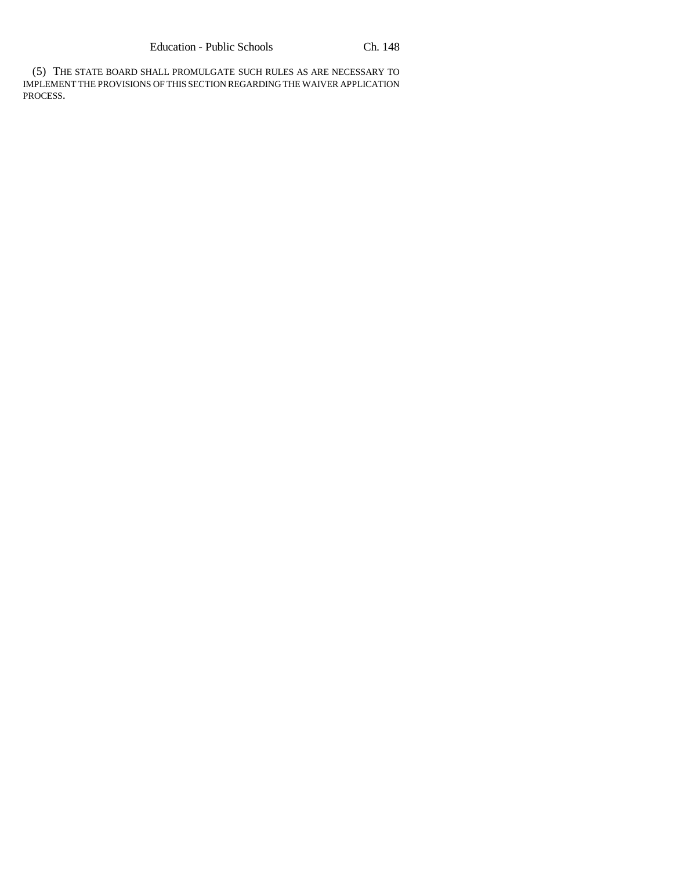(5) THE STATE BOARD SHALL PROMULGATE SUCH RULES AS ARE NECESSARY TO IMPLEMENT THE PROVISIONS OF THIS SECTION REGARDING THE WAIVER APPLICATION PROCESS.